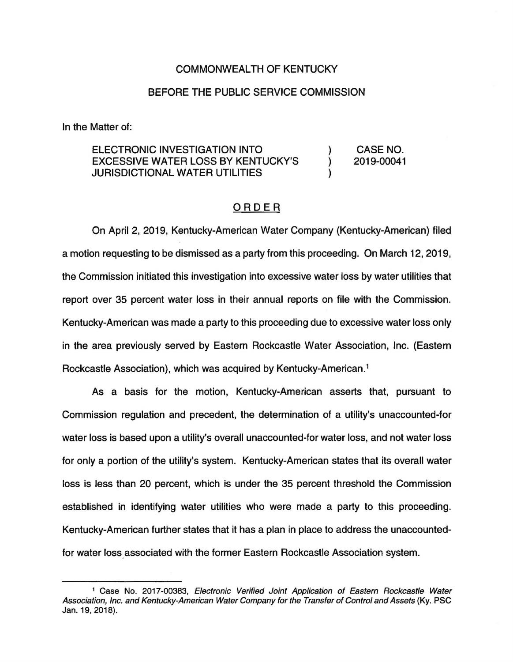## COMMONWEALTH OF KENTUCKY

## BEFORE THE PUBLIC SERVICE COMMISSION

In the Matter of:

## ELECTRONIC INVESTIGATION INTO EXCESSIVE WATER LOSS BY KENTUCKY'S JURISDICTIONAL WATER UTILITIES )  $\lambda$ )

## ORDER

CASE NO. 2019-00041

On April 2, 2019, Kentucky-American Water Company (Kentucky-American) filed a motion requesting to be dismissed as a party from this proceeding. On March 12, 2019, the Commission initiated this investigation into excessive water loss by water utilities that report over 35 percent water loss in their annual reports on file with the Commission. Kentucky-American was made a party to this proceeding due to excessive water loss only in the area previously served by Eastern Rockcastle Water Association, Inc. (Eastern Rockcastle Association), which was acquired by Kentucky-American. <sup>1</sup>

As a basis for the motion, Kentucky-American asserts that, pursuant to Commission regulation and precedent, the determination of a utility's unaccounted-for water loss is based upon a utility's overall unaccounted-for water loss, and not water loss for only a portion of the utility's system. Kentucky-American states that its overall water loss is less than 20 percent, which is under the 35 percent threshold the Commission established in identifying water utilities who were made a party to this proceeding. Kentucky-American further states that it has a plan in place to address the unaccountedfor water loss associated with the former Eastern Rockcastle Association system.

<sup>&</sup>lt;sup>1</sup> Case No. 2017-00383, Electronic Verified Joint Application of Eastern Rockcastle Water Association, Inc. and Kentucky-American Water Company for the Transfer of Control and Assets (Ky. PSC Jan. 19, 2018).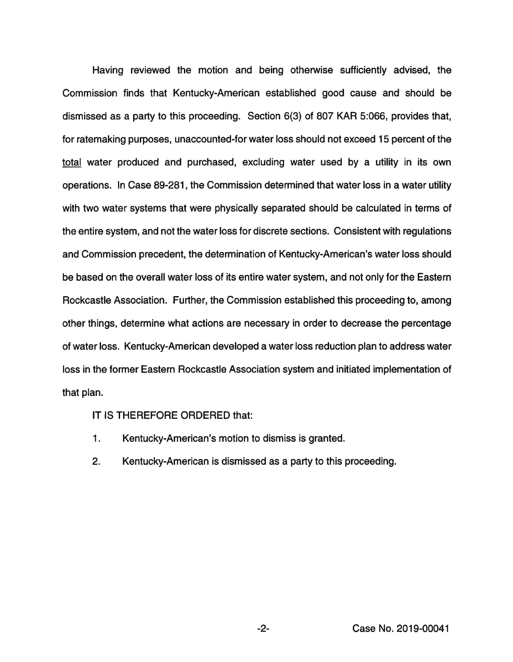Having reviewed the motion and being otherwise sufficiently advised, the Commission finds that Kentucky-American established good cause and should be dismissed as a party to this proceeding. Section 6(3) of 807 KAR 5:066, provides that, for ratemaking purposes, unaccounted-for water loss should not exceed 15 percent of the total water produced and purchased, excluding water used by a utility in its own operations. In Case 89-281 , the Commission determined that water loss in a water utility with two water systems that were physically separated should be calculated in terms of the entire system, and not the water loss for discrete sections. Consistent with regulations and Commission precedent, the determination of Kentucky-American's water loss should be based on the overall water loss of its entire water system, and not only for the Eastern Rockcastle Association. Further, the Commission established this proceeding to, among other things, determine what actions are necessary in order to decrease the percentage of water loss. Kentucky-American developed a water loss reduction plan to address water loss in the former Eastern Rockcastle Association system and initiated implementation of that plan.

IT IS THEREFORE ORDERED that:

- 1. Kentucky-American's motion to dismiss is granted.
- 2. Kentucky-American is dismissed as a party to this proceeding.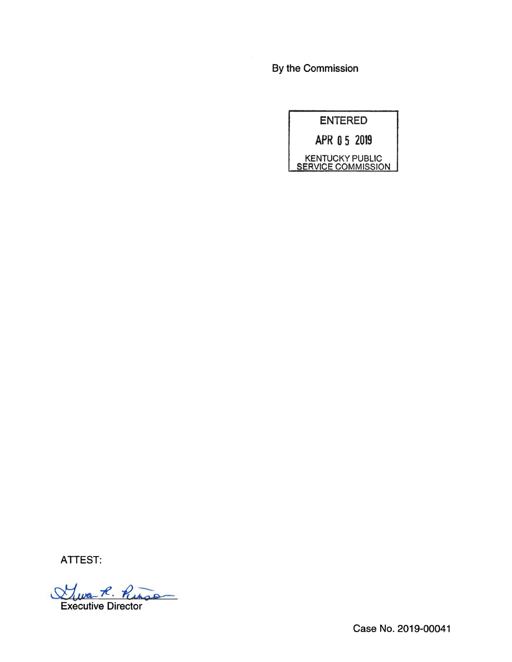By the Commission



ATTEST:

Executive Director

Case No. 2019-00041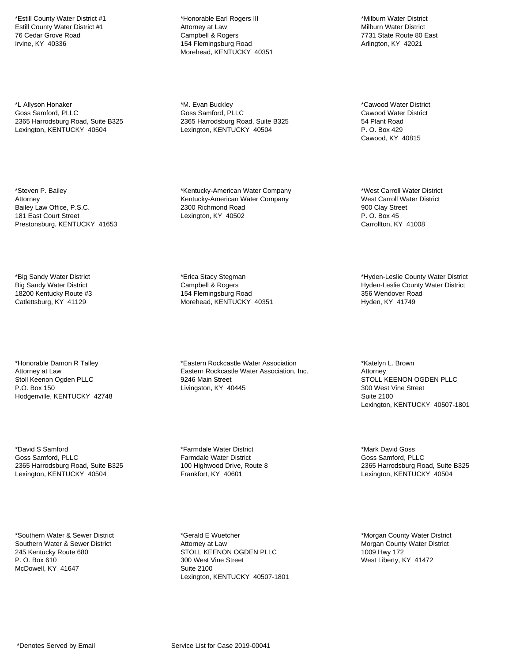\*Estill County Water District #1 Estill County Water District #1 76 Cedar Grove Road Irvine, KY 40336

\*L Allyson Honaker Goss Samford, PLLC 2365 Harrodsburg Road, Suite B325 Lexington, KENTUCKY 40504

\*Steven P. Bailey Attorney Bailey Law Office, P.S.C. 181 East Court Street Prestonsburg, KENTUCKY 41653

\*Big Sandy Water District Big Sandy Water District 18200 Kentucky Route #3 Catlettsburg, KY 41129

\*Honorable Damon R Talley Attorney at Law Stoll Keenon Ogden PLLC P.O. Box 150 Hodgenville, KENTUCKY 42748

\*David S Samford Goss Samford, PLLC 2365 Harrodsburg Road, Suite B325 Lexington, KENTUCKY 40504

\*Southern Water & Sewer District Southern Water & Sewer District 245 Kentucky Route 680 P. O. Box 610 McDowell, KY 41647

\*Honorable Earl Rogers III Attorney at Law Campbell & Rogers 154 Flemingsburg Road Morehead, KENTUCKY 40351

\*M. Evan Buckley Goss Samford, PLLC 2365 Harrodsburg Road, Suite B325 Lexington, KENTUCKY 40504

\*Kentucky-American Water Company Kentucky-American Water Company 2300 Richmond Road Lexington, KY 40502

\*Erica Stacy Stegman Campbell & Rogers 154 Flemingsburg Road Morehead, KENTUCKY 40351

\*Eastern Rockcastle Water Association Eastern Rockcastle Water Association, Inc. 9246 Main Street Livingston, KY 40445

\*Farmdale Water District Farmdale Water District 100 Highwood Drive, Route 8 Frankfort, KY 40601

\*Gerald E Wuetcher Attorney at Law STOLL KEENON OGDEN PLLC 300 West Vine Street Suite 2100 Lexington, KENTUCKY 40507-1801

\*Milburn Water District Milburn Water District 7731 State Route 80 East Arlington, KY 42021

\*Cawood Water District Cawood Water District 54 Plant Road P. O. Box 429 Cawood, KY 40815

\*West Carroll Water District West Carroll Water District 900 Clay Street P. O. Box 45 Carrollton, KY 41008

\*Hyden-Leslie County Water District Hyden-Leslie County Water District 356 Wendover Road Hyden, KY 41749

\*Katelyn L. Brown Attorney STOLL KEENON OGDEN PLLC 300 West Vine Street Suite 2100 Lexington, KENTUCKY 40507-1801

\*Mark David Goss Goss Samford, PLLC 2365 Harrodsburg Road, Suite B325 Lexington, KENTUCKY 40504

\*Morgan County Water District Morgan County Water District 1009 Hwy 172 West Liberty, KY 41472